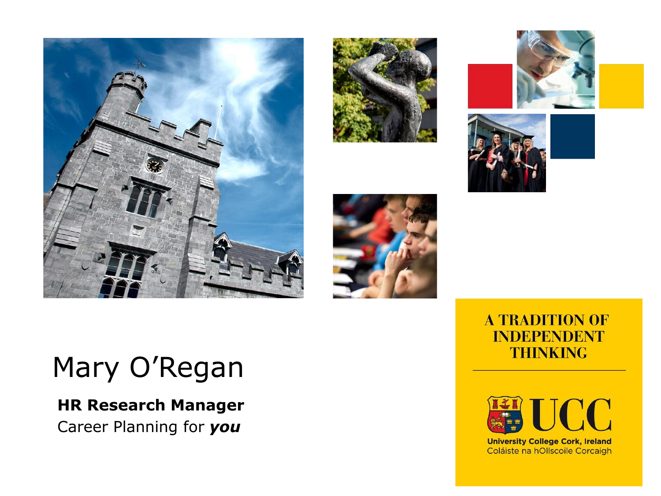









#### **A TRADITION OF INDEPENDENT THINKING**



**University College Cork, Ireland** Coláiste na hOllscoile Corcaigh

### Mary O'Regan

#### **HR Research Manager** Career Planning for *you*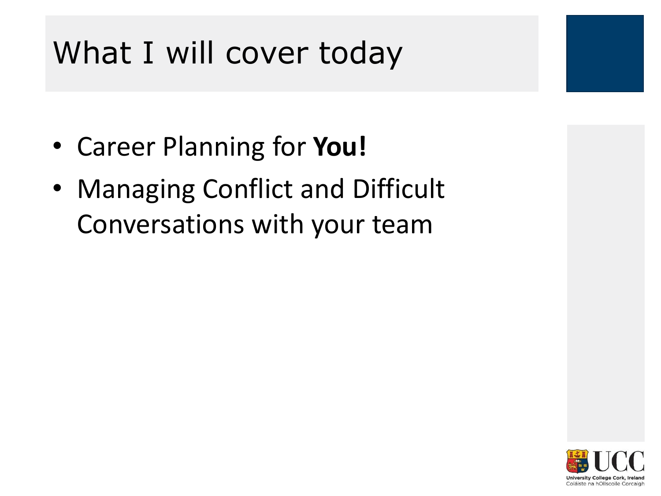### What I will cover today

- Career Planning for **You!**
- Managing Conflict and Difficult Conversations with your team



Coláiste na hOllscoile Corcaigh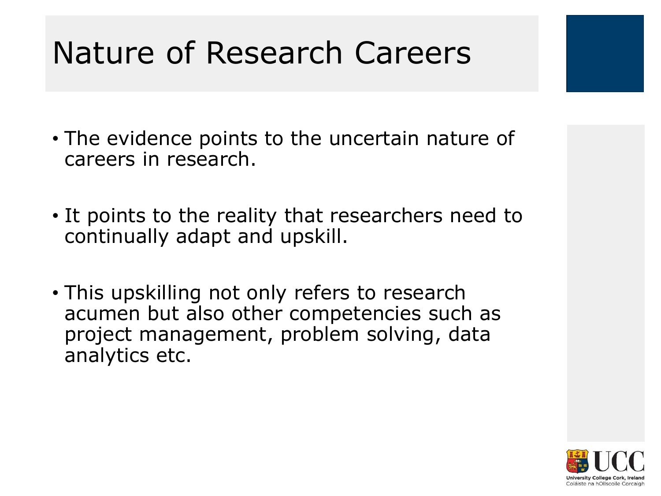### Nature of Research Careers

- The evidence points to the uncertain nature of careers in research.
- It points to the reality that researchers need to continually adapt and upskill.
- This upskilling not only refers to research acumen but also other competencies such as project management, problem solving, data analytics etc.

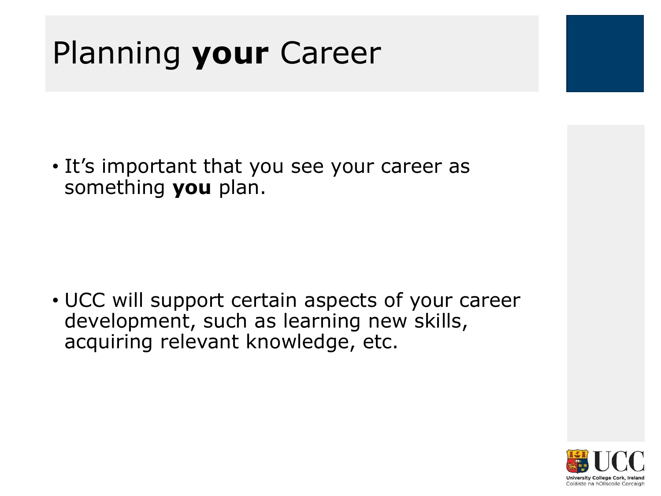### Planning **your** Career

• It's important that you see your career as something **you** plan.

• UCC will support certain aspects of your career development, such as learning new skills, acquiring relevant knowledge, etc.

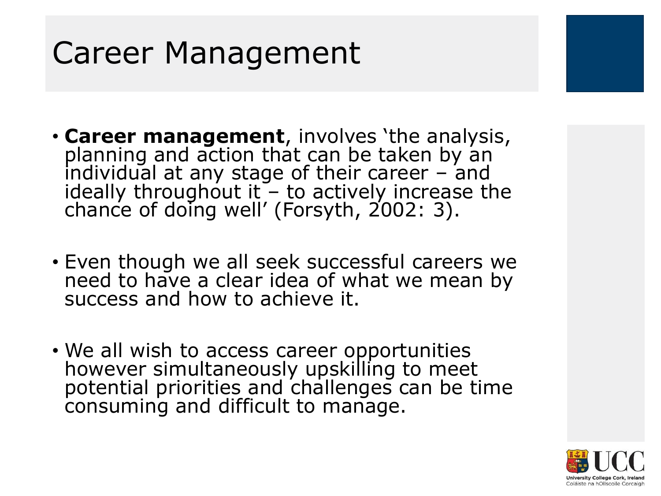### Career Management

- **Career management**, involves 'the analysis, planning and action that can be taken by an individual at any stage of their career  $-$  and ideally throughout it  $\sim$  to actively increase the chance of doing well' (Forsyth, 2002: 3).
- Even though we all seek successful careers we need to have a clear idea of what we mean by success and how to achieve it.
- We all wish to access career opportunities however simultaneously upskilling to meet potential priorities and challenges can be time consuming and difficult to manage.

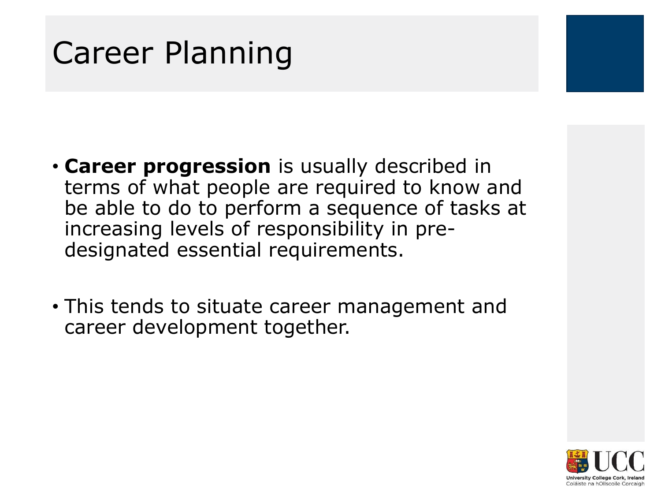### Career Planning

- **Career progression** is usually described in terms of what people are required to know and be able to do to perform a sequence of tasks at increasing levels of responsibility in predesignated essential requirements.
- This tends to situate career management and career development together.

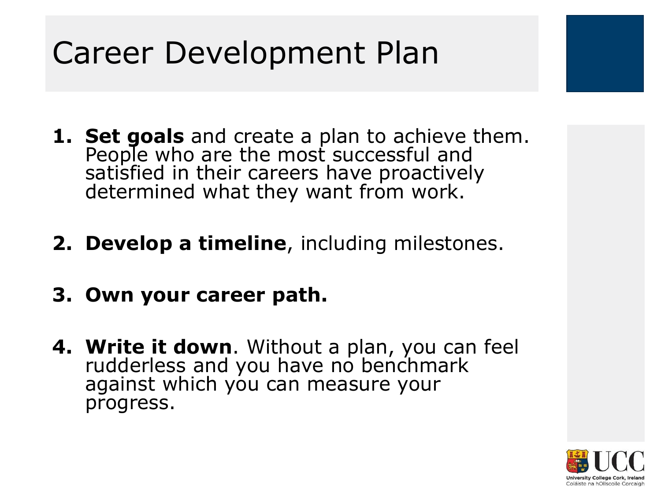### Career Development Plan

- **1. Set goals** and create a plan to achieve them. People who are the most successful and satisfied in their careers have proactively determined what they want from work.
- **2. Develop a timeline**, including milestones.
- **3. Own your career path.**
- **4. Write it down**. Without a plan, you can feel rudderless and you have no benchmark against which you can measure your progress.

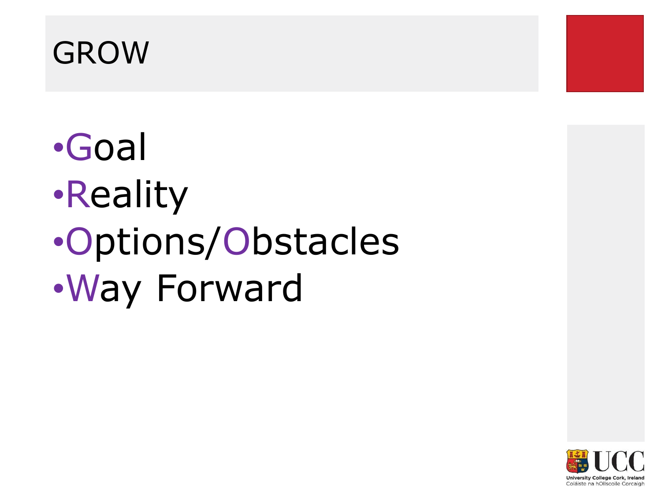### GROW



# •Goal •Reality •Options/Obstacles •Way Forward

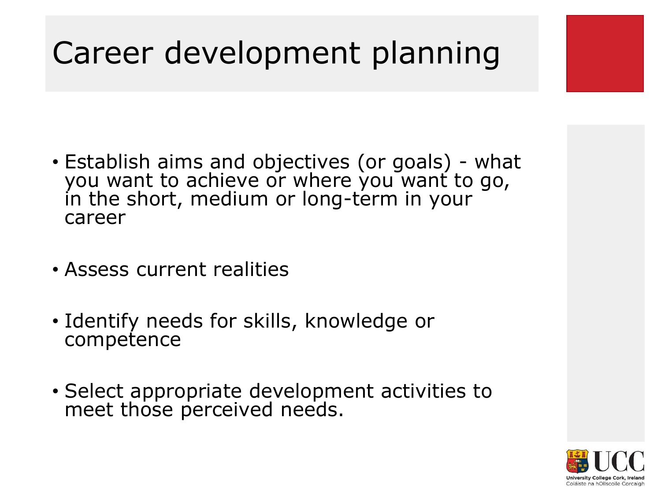### Career development planning

- Establish aims and objectives (or goals) what you want to achieve or where you want to go, in the short, medium or long-term in your career
- Assess current realities
- Identify needs for skills, knowledge or competence
- Select appropriate development activities to meet those perceived needs.

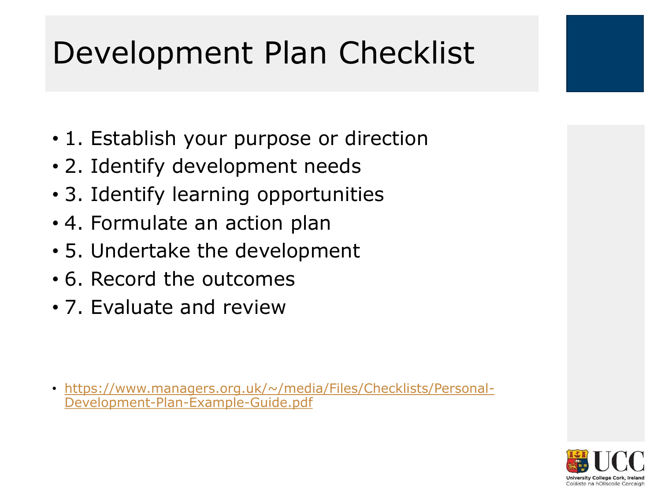### Development Plan Checklist

- 1. Establish your purpose or direction
- 2. Identify development needs
- 3. Identify learning opportunities
- 4. Formulate an action plan
- 5. Undertake the development
- 6. Record the outcomes
- 7. Evaluate and review

• [https://www.managers.org.uk/~/media/Files/Checklists/Personal-](https://www.managers.org.uk/~/media/Files/Checklists/Personal-Development-Plan-Example-Guide.pdf)Development-Plan-Example-Guide.pdf

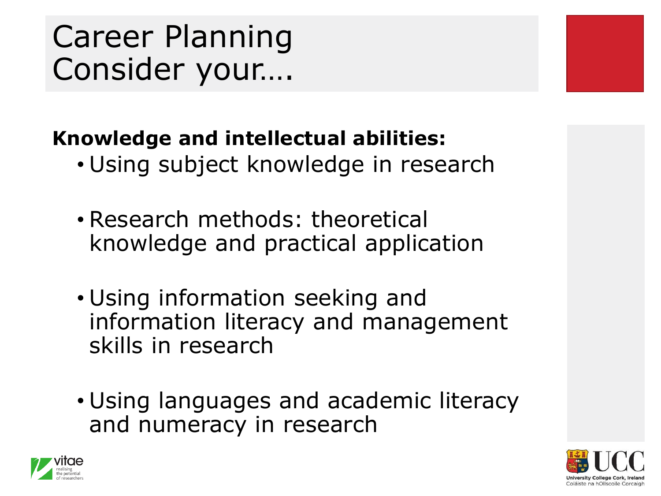### **Knowledge and intellectual abilities:**

- Using subject knowledge in research
- Research methods: theoretical knowledge and practical application
- Using information seeking and information literacy and management skills in research
- Using languages and academic literacy and numeracy in research



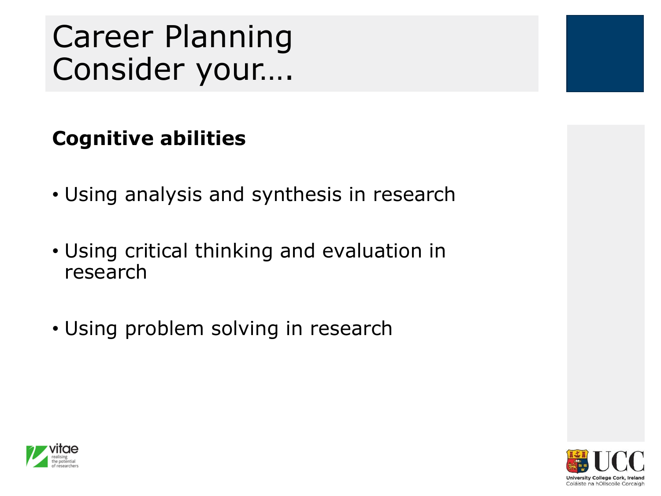### **Cognitive abilities**

- Using analysis and synthesis in research
- Using critical thinking and evaluation in research
- Using problem solving in research



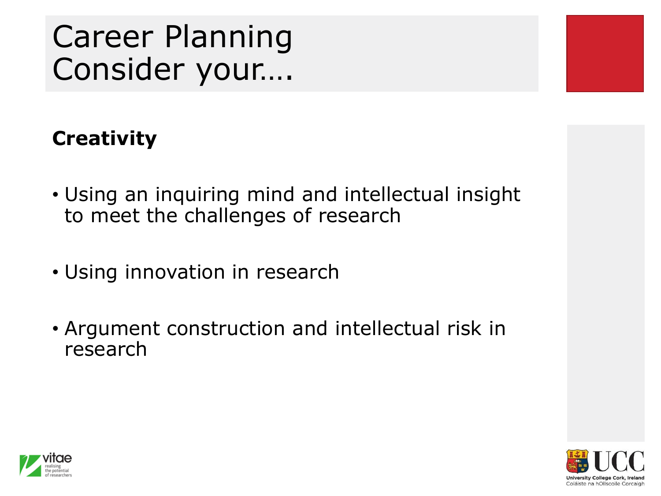### **Creativity**

- Using an inquiring mind and intellectual insight to meet the challenges of research
- Using innovation in research
- Argument construction and intellectual risk in research



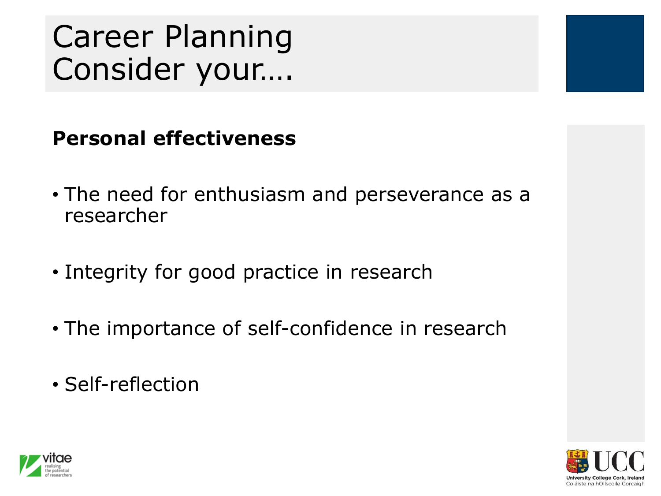#### **Personal effectiveness**

- The need for enthusiasm and perseverance as a researcher
- Integrity for good practice in research
- The importance of self-confidence in research
- Self-reflection



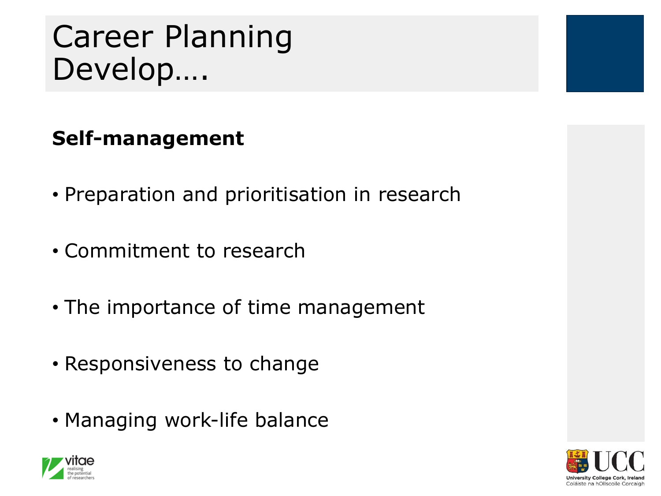### Career Planning Develop….

#### **Self-management**

- Preparation and prioritisation in research
- Commitment to research
- The importance of time management
- Responsiveness to change
- Managing work-life balance



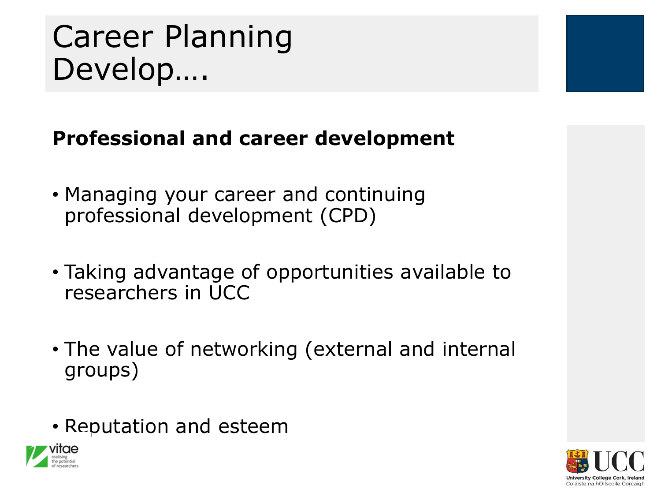### Career Planning Develop….

#### **Professional and career development**

- Managing your career and continuing professional development (CPD)
- Taking advantage of opportunities available to researchers in UCC
- The value of networking (external and internal groups)
- Reputation and esteem



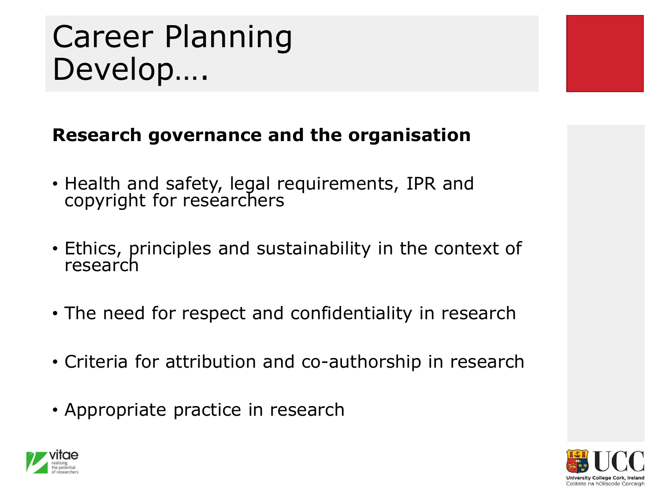### Career Planning Develop….



- Health and safety, legal requirements, IPR and copyright for researchers
- Ethics, principles and sustainability in the context of research
- The need for respect and confidentiality in research
- Criteria for attribution and co-authorship in research
- Appropriate practice in research



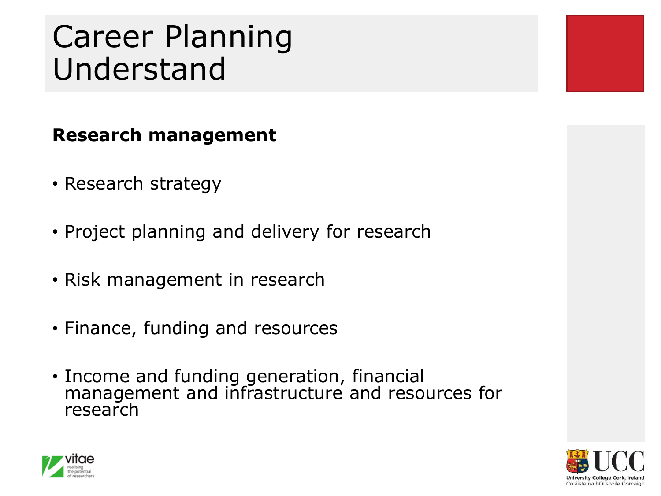### Career Planning Understand

#### **Research management**

- Research strategy
- Project planning and delivery for research
- Risk management in research
- Finance, funding and resources
- Income and funding generation, financial management and infrastructure and resources for research



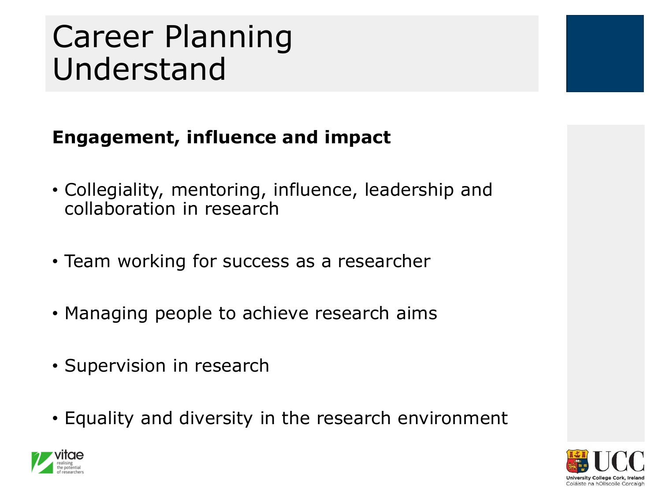### Career Planning Understand

#### **Engagement, influence and impact**

- Collegiality, mentoring, influence, leadership and collaboration in research
- Team working for success as a researcher
- Managing people to achieve research aims
- Supervision in research
- Equality and diversity in the research environment



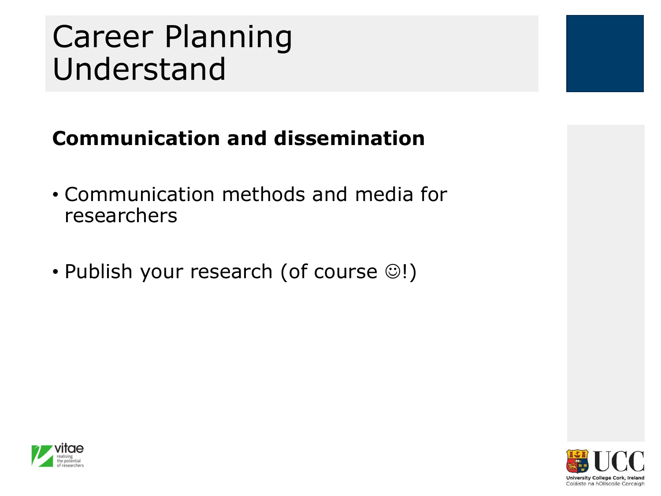### Career Planning Understand

#### **Communication and dissemination**

- Communication methods and media for researchers
- Publish your research (of course ☺!)



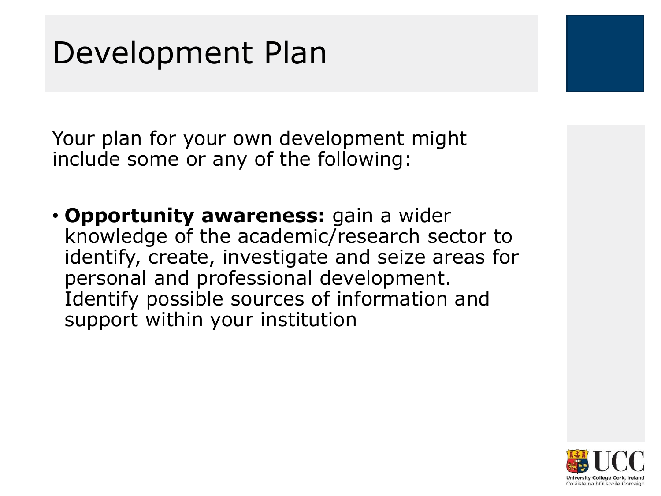Your plan for your own development might include some or any of the following:

• **Opportunity awareness:** gain a wider knowledge of the academic/research sector to identify, create, investigate and seize areas for personal and professional development. Identify possible sources of information and support within your institution

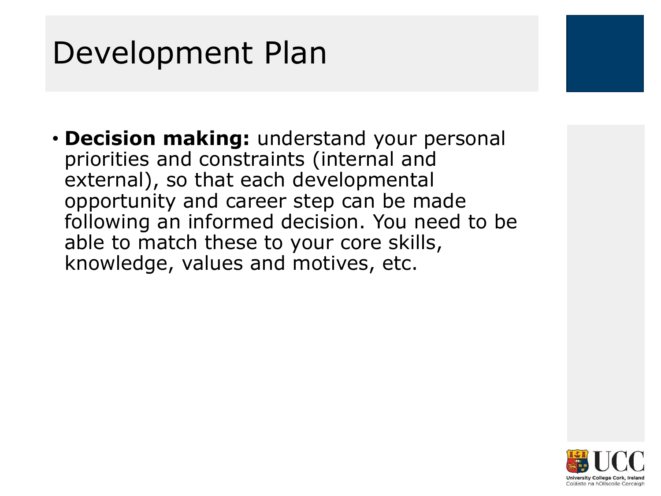• **Decision making:** understand your personal priorities and constraints (internal and external), so that each developmental opportunity and career step can be made following an informed decision. You need to be able to match these to your core skills, knowledge, values and motives, etc.

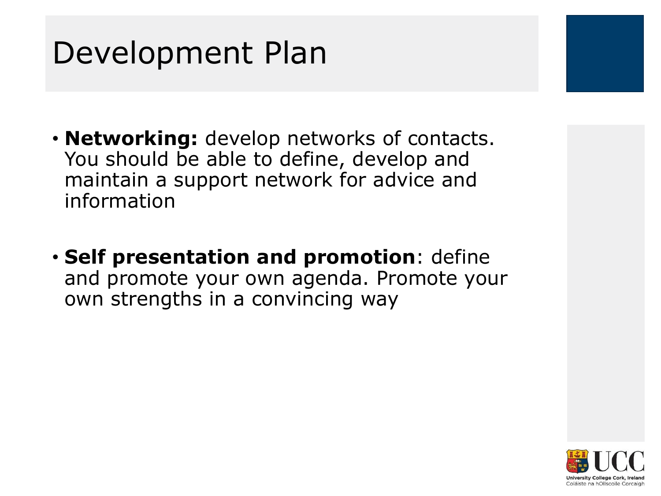- **Networking:** develop networks of contacts. You should be able to define, develop and maintain a support network for advice and information
- **Self presentation and promotion**: define and promote your own agenda. Promote your own strengths in a convincing way

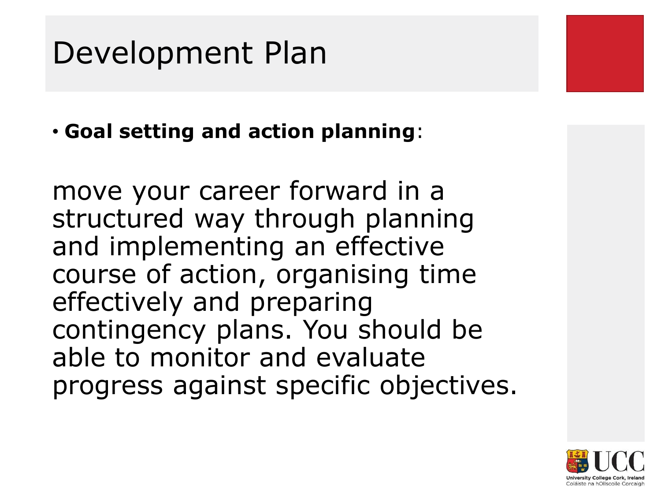• **Goal setting and action planning**:

move your career forward in a structured way through planning and implementing an effective course of action, organising time effectively and preparing contingency plans. You should be able to monitor and evaluate progress against specific objectives.

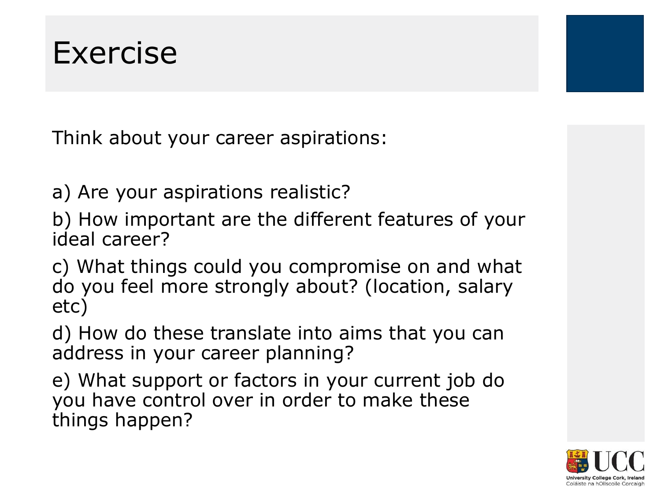Think about your career aspirations:

a) Are your aspirations realistic?

b) How important are the different features of your ideal career?

c) What things could you compromise on and what do you feel more strongly about? (location, salary etc)

d) How do these translate into aims that you can address in your career planning?

e) What support or factors in your current job do you have control over in order to make these things happen?

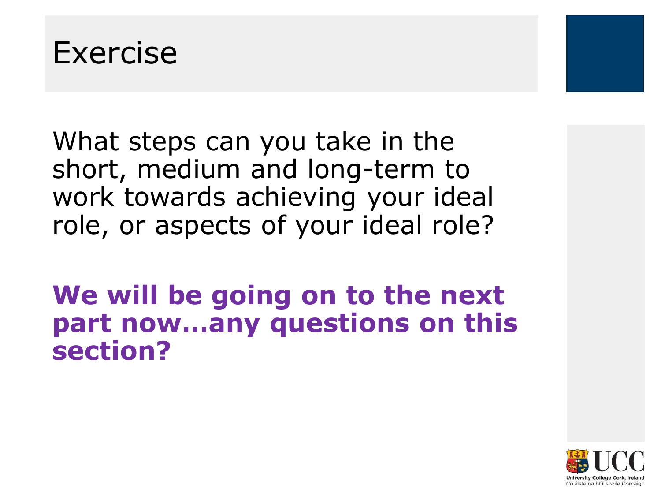

What steps can you take in the short, medium and long-term to work towards achieving your ideal role, or aspects of your ideal role?

**We will be going on to the next part now…any questions on this section?**

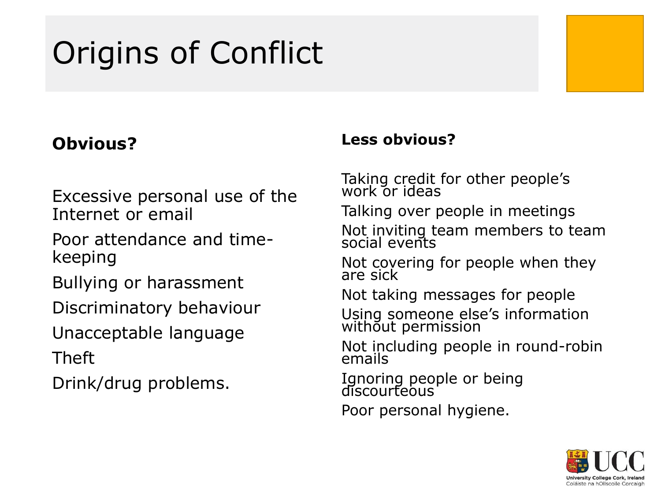### Origins of Conflict

#### **Obvious?**

#### Excessive personal use of the Internet or email

Poor attendance and timekeeping

Bullying or harassment

Discriminatory behaviour

Unacceptable language Theft

Drink/drug problems.

#### **Less obvious?**

Taking credit for other people's work or ideas

Talking over people in meetings

Not inviting team members to team social events

Not covering for people when they are sick

Not taking messages for people

Using someone else's information without permission

Not including people in round-robin emails

Ignoring people or being discourteous'

Poor personal hygiene.

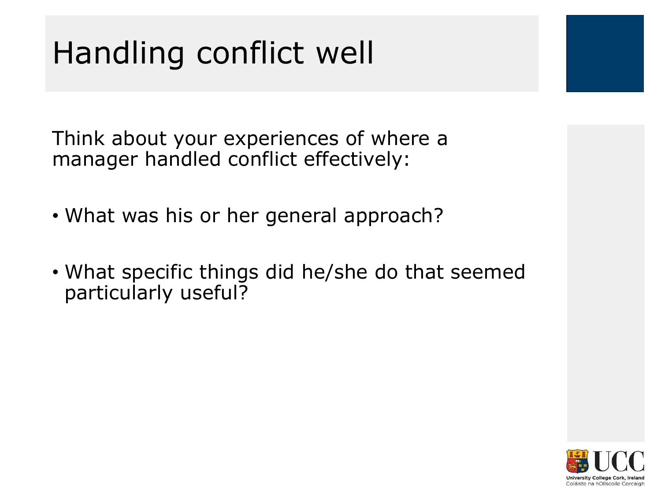### Handling conflict well

Think about your experiences of where a manager handled conflict effectively:

- What was his or her general approach?
- What specific things did he/she do that seemed particularly useful?

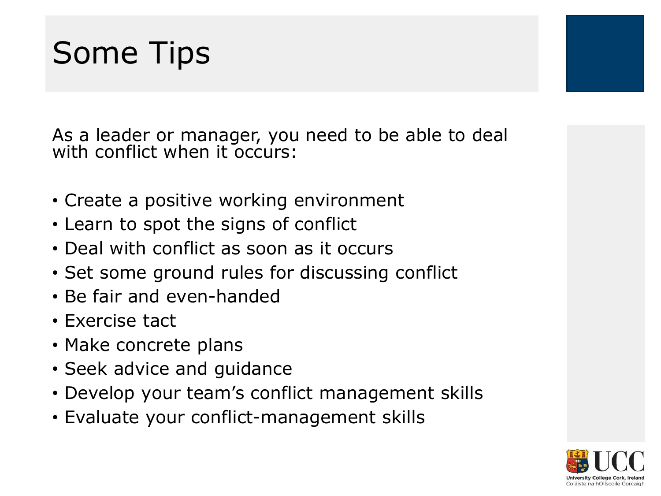### Some Tips

As a leader or manager, you need to be able to deal with conflict when it occurs:

- Create a positive working environment
- Learn to spot the signs of conflict
- Deal with conflict as soon as it occurs
- Set some ground rules for discussing conflict
- Be fair and even-handed
- Exercise tact
- Make concrete plans
- Seek advice and guidance
- Develop your team's conflict management skills
- Evaluate your conflict-management skills

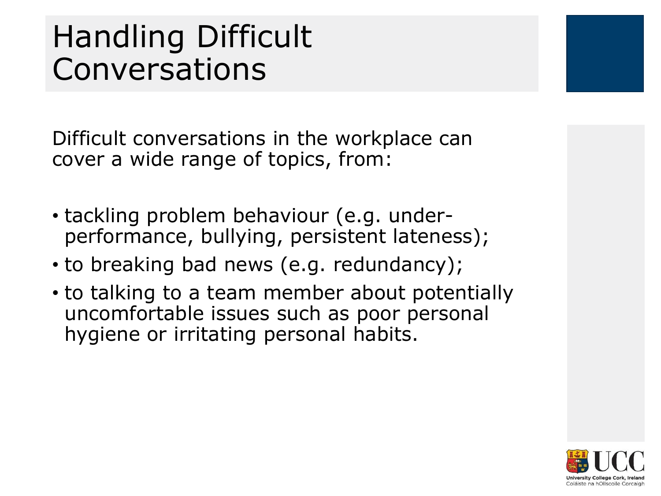Difficult conversations in the workplace can cover a wide range of topics, from:

- tackling problem behaviour (e.g. underperformance, bullying, persistent lateness);
- to breaking bad news (e.g. redundancy);
- to talking to a team member about potentially uncomfortable issues such as poor personal hygiene or irritating personal habits.

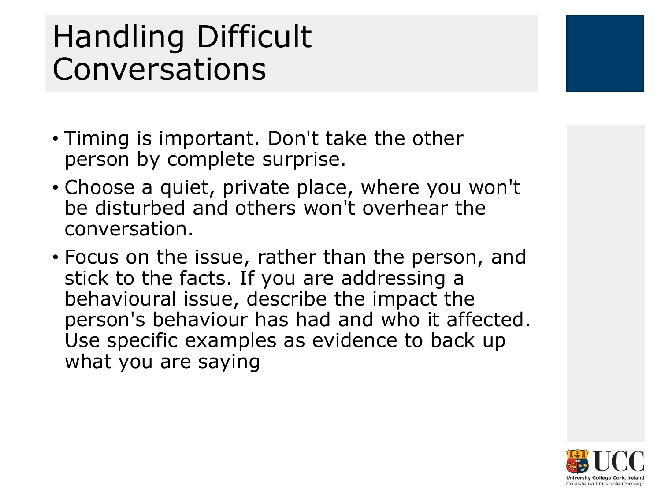- Timing is important. Don't take the other person by complete surprise.
- Choose a quiet, private place, where you won't be disturbed and others won't overhear the conversation.
- Focus on the issue, rather than the person, and stick to the facts. If you are addressing a behavioural issue, describe the impact the person's behaviour has had and who it affected. Use specific examples as evidence to back up what you are saying

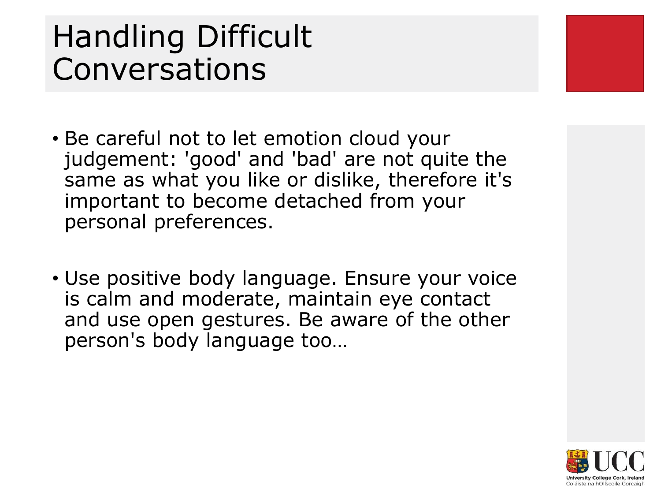- Be careful not to let emotion cloud your judgement: 'good' and 'bad' are not quite the same as what you like or dislike, therefore it's important to become detached from your personal preferences.
- Use positive body language. Ensure your voice is calm and moderate, maintain eye contact and use open gestures. Be aware of the other person's body language too…

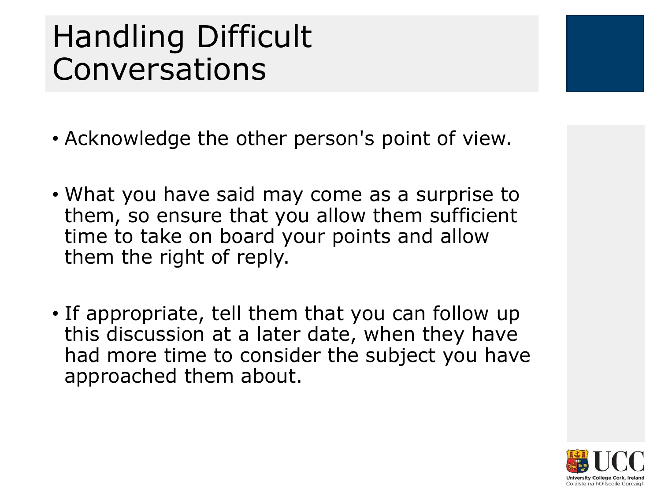- Acknowledge the other person's point of view.
- What you have said may come as a surprise to them, so ensure that you allow them sufficient time to take on board your points and allow them the right of reply.
- If appropriate, tell them that you can follow up this discussion at a later date, when they have had more time to consider the subject you have approached them about.

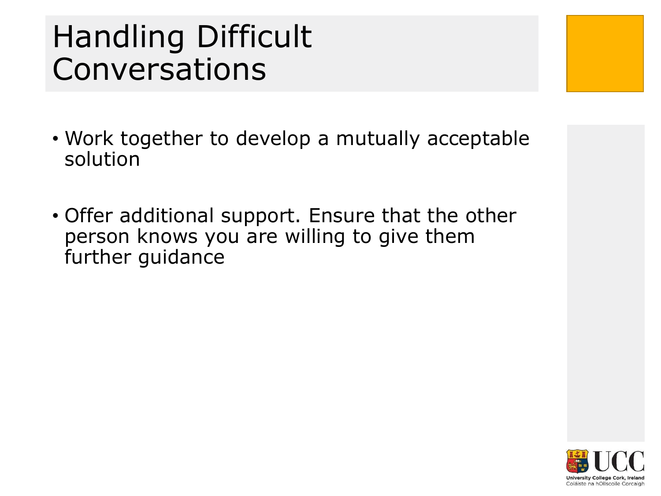- Work together to develop a mutually acceptable solution
- Offer additional support. Ensure that the other person knows you are willing to give them further guidance

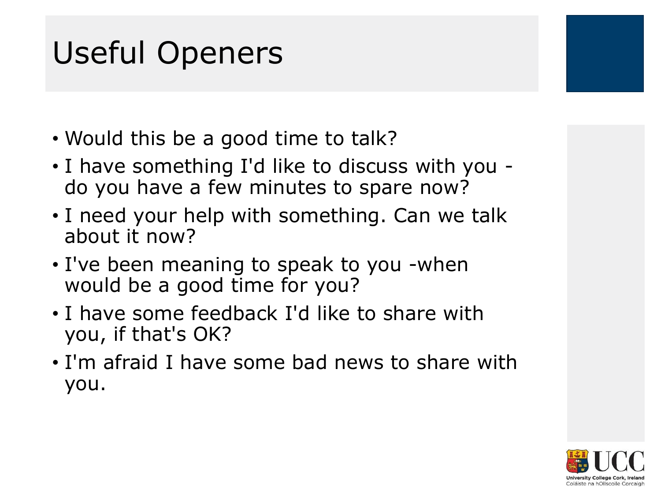### Useful Openers

- Would this be a good time to talk?
- I have something I'd like to discuss with you do you have a few minutes to spare now?
- I need your help with something. Can we talk about it now?
- I've been meaning to speak to you -when would be a good time for you?
- I have some feedback I'd like to share with you, if that's OK?
- I'm afraid I have some bad news to share with you.

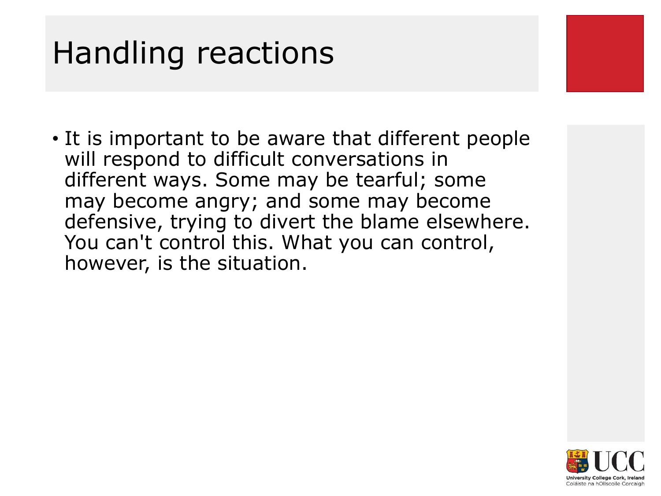• It is important to be aware that different people will respond to difficult conversations in different ways. Some may be tearful; some may become angry; and some may become defensive, trying to divert the blame elsewhere. You can't control this. What you can control, however, is the situation.

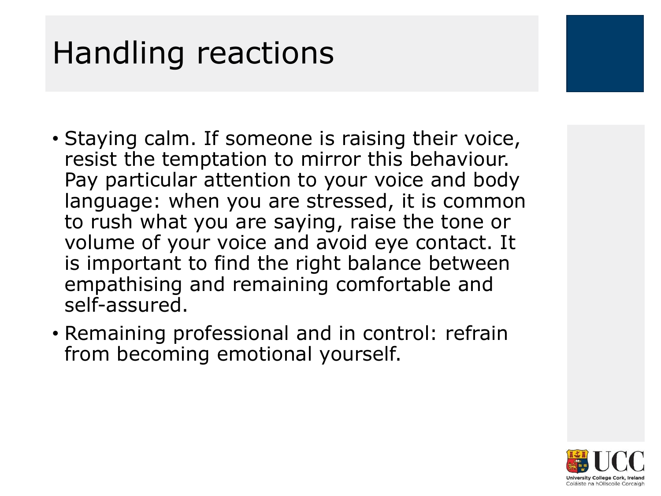- Staying calm. If someone is raising their voice, resist the temptation to mirror this behaviour. Pay particular attention to your voice and body language: when you are stressed, it is common to rush what you are saying, raise the tone or volume of your voice and avoid eye contact. It is important to find the right balance between empathising and remaining comfortable and self-assured.
- Remaining professional and in control: refrain from becoming emotional yourself.

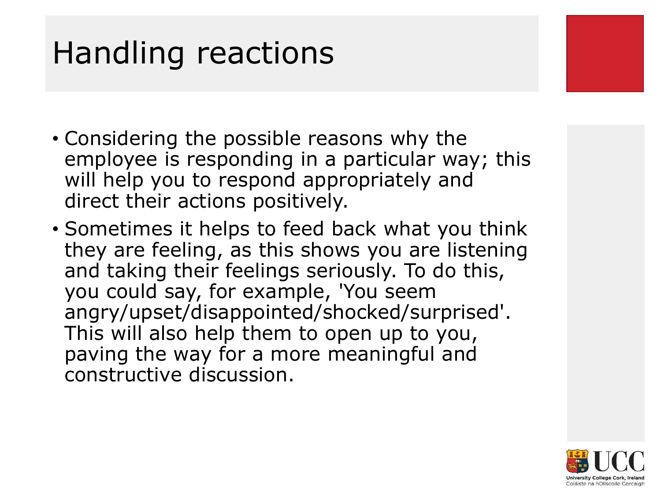- Considering the possible reasons why the employee is responding in a particular way; this will help you to respond appropriately and direct their actions positively.
- Sometimes it helps to feed back what you think they are feeling, as this shows you are listening and taking their feelings seriously. To do this, you could say, for example, 'You seem angry/upset/disappointed/shocked/surprised'. This will also help them to open up to you, paving the way for a more meaningful and constructive discussion.

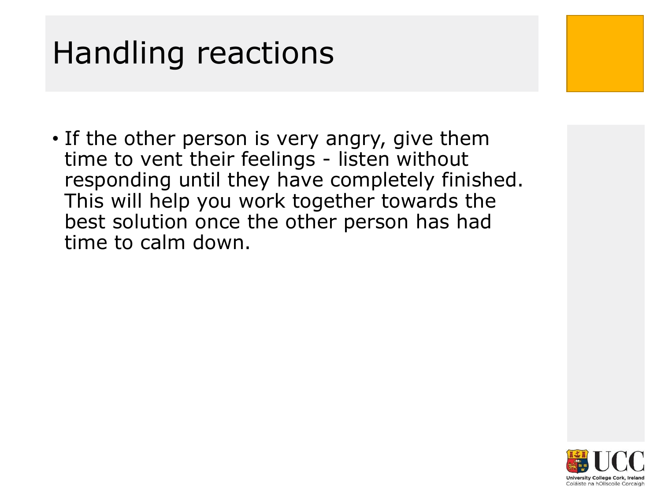• If the other person is very angry, give them time to vent their feelings - listen without responding until they have completely finished. This will help you work together towards the best solution once the other person has had time to calm down.

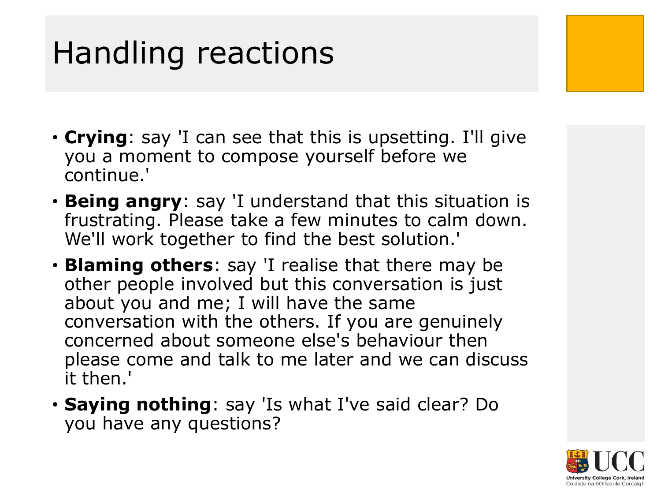- **Crying**: say 'I can see that this is upsetting. I'll give you a moment to compose yourself before we continue.'
- **Being angry**: say 'I understand that this situation is frustrating. Please take a few minutes to calm down. We'll work together to find the best solution.'
- **Blaming others**: say 'I realise that there may be other people involved but this conversation is just about you and me; I will have the same conversation with the others. If you are genuinely concerned about someone else's behaviour then please come and talk to me later and we can discuss it then.'
- **Saying nothing**: say 'Is what I've said clear? Do you have any questions?

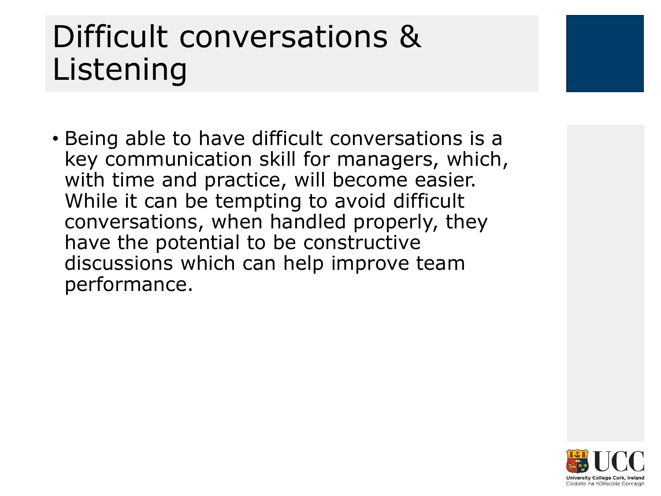### Difficult conversations & Listening

• Being able to have difficult conversations is a key communication skill for managers, which, with time and practice, will become easier. While it can be tempting to avoid difficult conversations, when handled properly, they have the potential to be constructive discussions which can help improve team performance.

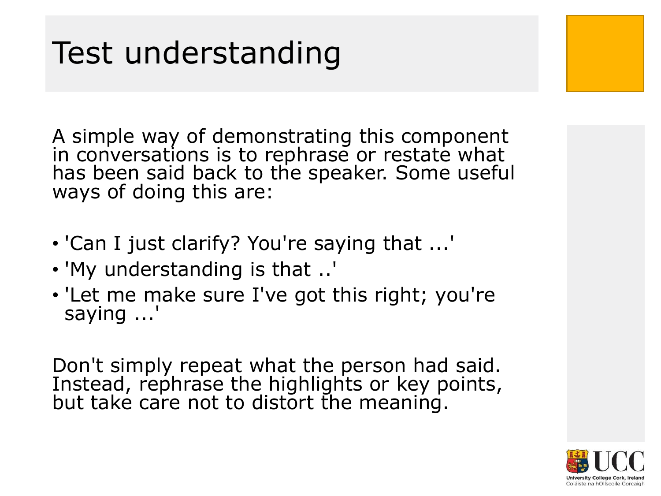### Test understanding

A simple way of demonstrating this component in conversations is to rephrase or restate what has been said back to the speaker. Some useful ways of doing this are:

- 'Can I just clarify? You're saying that ...'
- 'My understanding is that ..'
- 'Let me make sure I've got this right; you're saying ...'

Don't simply repeat what the person had said. Instead, rephrase the highlights or key points, but take care not to distort the meaning.

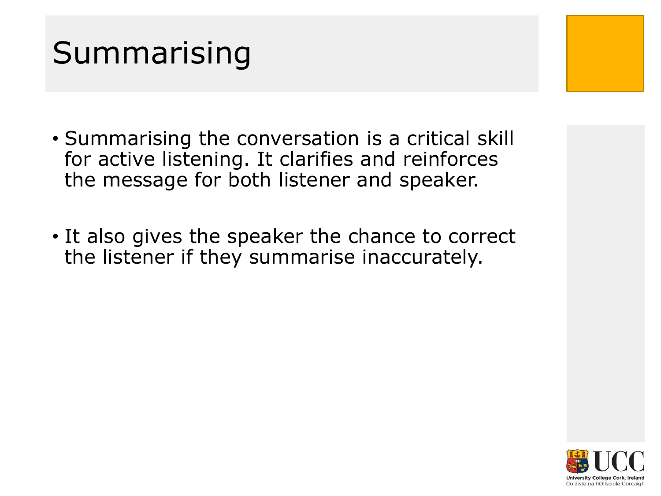### Summarising

- Summarising the conversation is a critical skill for active listening. It clarifies and reinforces the message for both listener and speaker.
- It also gives the speaker the chance to correct the listener if they summarise inaccurately.

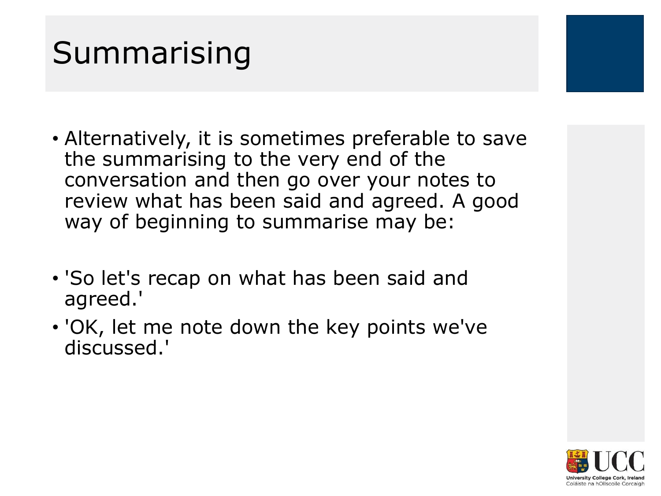### Summarising

- Alternatively, it is sometimes preferable to save the summarising to the very end of the conversation and then go over your notes to review what has been said and agreed. A good way of beginning to summarise may be:
- 'So let's recap on what has been said and agreed.'
- 'OK, let me note down the key points we've discussed.'